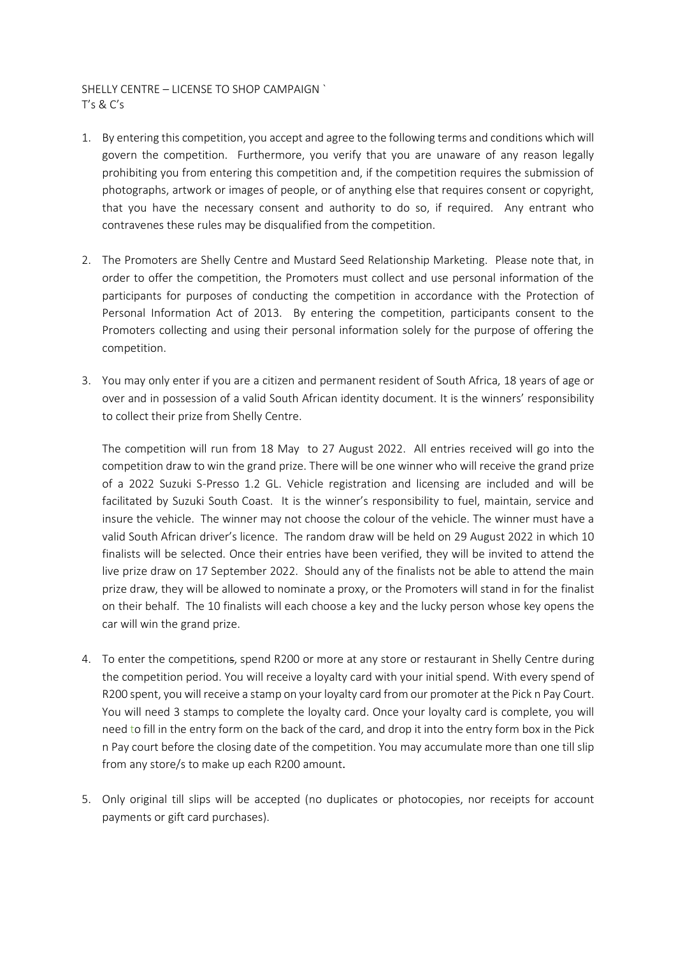## SHELLY CENTRE – LICENSE TO SHOP CAMPAIGN ` T's & C's

- 1. By entering this competition, you accept and agree to the following terms and conditions which will govern the competition. Furthermore, you verify that you are unaware of any reason legally prohibiting you from entering this competition and, if the competition requires the submission of photographs, artwork or images of people, or of anything else that requires consent or copyright, that you have the necessary consent and authority to do so, if required. Any entrant who contravenes these rules may be disqualified from the competition.
- 2. The Promoters are Shelly Centre and Mustard Seed Relationship Marketing. Please note that, in order to offer the competition, the Promoters must collect and use personal information of the participants for purposes of conducting the competition in accordance with the Protection of Personal Information Act of 2013. By entering the competition, participants consent to the Promoters collecting and using their personal information solely for the purpose of offering the competition.
- 3. You may only enter if you are a citizen and permanent resident of South Africa, 18 years of age or over and in possession of a valid South African identity document. It is the winners' responsibility to collect their prize from Shelly Centre.

The competition will run from 18 May to 27 August 2022. All entries received will go into the competition draw to win the grand prize. There will be one winner who will receive the grand prize of a 2022 Suzuki S-Presso 1.2 GL. Vehicle registration and licensing are included and will be facilitated by Suzuki South Coast. It is the winner's responsibility to fuel, maintain, service and insure the vehicle. The winner may not choose the colour of the vehicle. The winner must have a valid South African driver's licence. The random draw will be held on 29 August 2022 in which 10 finalists will be selected. Once their entries have been verified, they will be invited to attend the live prize draw on 17 September 2022. Should any of the finalists not be able to attend the main prize draw, they will be allowed to nominate a proxy, or the Promoters will stand in for the finalist on their behalf. The 10 finalists will each choose a key and the lucky person whose key opens the car will win the grand prize.

- 4. To enter the competitions, spend R200 or more at any store or restaurant in Shelly Centre during the competition period. You will receive a loyalty card with your initial spend. With every spend of R200 spent, you will receive a stamp on your loyalty card from our promoter at the Pick n Pay Court. You will need 3 stamps to complete the loyalty card. Once your loyalty card is complete, you will need to fill in the entry form on the back of the card, and drop it into the entry form box in the Pick n Pay court before the closing date of the competition. You may accumulate more than one till slip from any store/s to make up each R200 amount.
- 5. Only original till slips will be accepted (no duplicates or photocopies, nor receipts for account payments or gift card purchases).